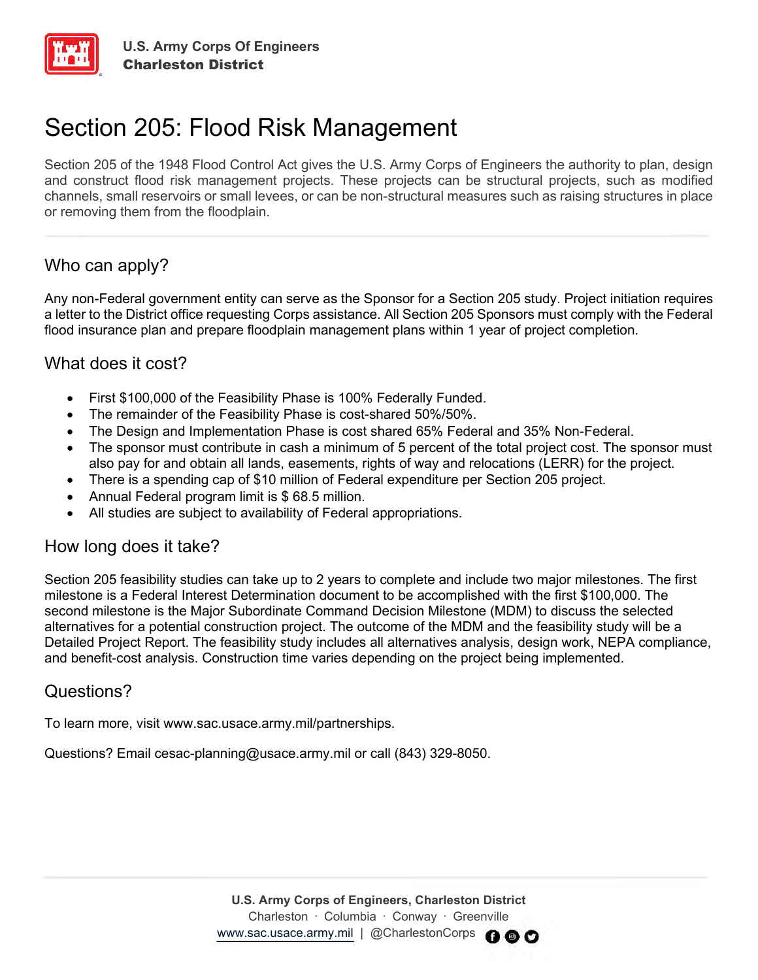

# Section 205: Flood Risk Management

Section 205 of the 1948 Flood Control Act gives the U.S. Army Corps of Engineers the authority to plan, design and construct flood risk management projects. These projects can be structural projects, such as modified channels, small reservoirs or small levees, or can be non-structural measures such as raising structures in place or removing them from the floodplain.

# Who can apply?

Any non-Federal government entity can serve as the Sponsor for a Section 205 study. Project initiation requires a letter to the District office requesting Corps assistance. All Section 205 Sponsors must comply with the Federal flood insurance plan and prepare floodplain management plans within 1 year of project completion.

#### What does it cost?

- First \$100,000 of the Feasibility Phase is 100% Federally Funded.
- The remainder of the Feasibility Phase is cost-shared 50%/50%.
- The Design and Implementation Phase is cost shared 65% Federal and 35% Non-Federal.
- The sponsor must contribute in cash a minimum of 5 percent of the total project cost. The sponsor must also pay for and obtain all lands, easements, rights of way and relocations (LERR) for the project.
- There is a spending cap of \$10 million of Federal expenditure per Section 205 project.
- Annual Federal program limit is \$ 68.5 million.
- All studies are subject to availability of Federal appropriations.

#### How long does it take?

Section 205 feasibility studies can take up to 2 years to complete and include two major milestones. The first milestone is a Federal Interest Determination document to be accomplished with the first \$100,000. The second milestone is the Major Subordinate Command Decision Milestone (MDM) to discuss the selected alternatives for a potential construction project. The outcome of the MDM and the feasibility study will be a Detailed Project Report. The feasibility study includes all alternatives analysis, design work, NEPA compliance, and benefit-cost analysis. Construction time varies depending on the project being implemented.

#### Questions?

To learn more, visit www.sac.usace.army.mil/partnerships.

Questions? Email cesac-planning@usace.army.mil or call (843) 329-8050.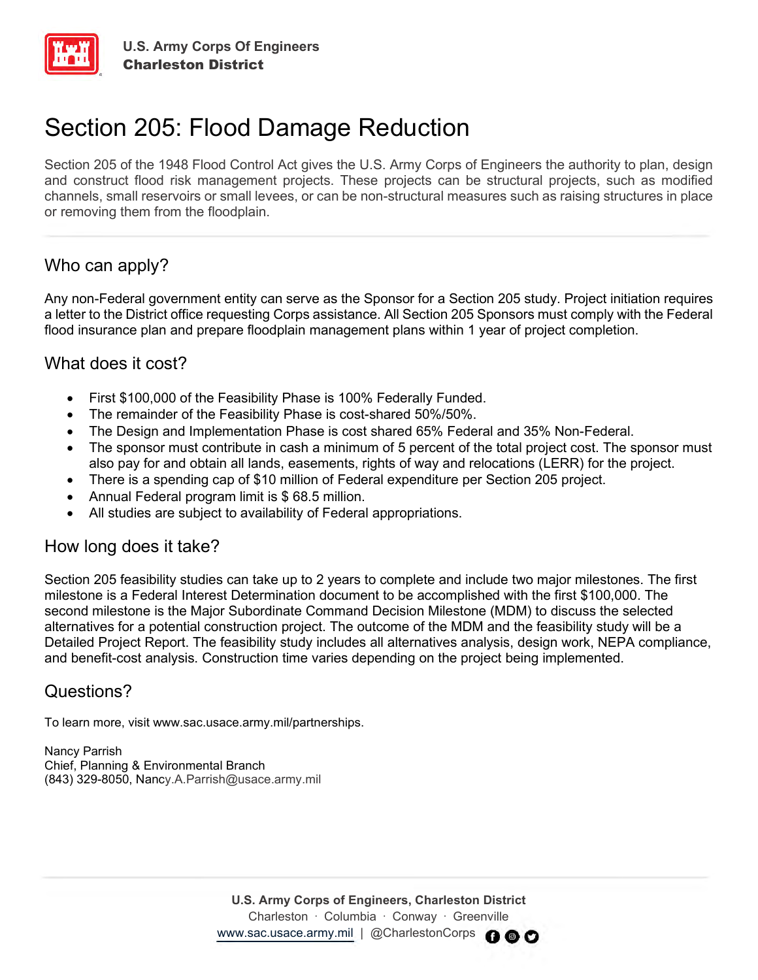

# Section 205: Flood Damage Reduction

Section 205 of the 1948 Flood Control Act gives the U.S. Army Corps of Engineers the authority to plan, design and construct flood risk management projects. These projects can be structural projects, such as modified channels, small reservoirs or small levees, or can be non-structural measures such as raising structures in place or removing them from the floodplain.

# Who can apply?

Any non-Federal government entity can serve as the Sponsor for a Section 205 study. Project initiation requires a letter to the District office requesting Corps assistance. All Section 205 Sponsors must comply with the Federal flood insurance plan and prepare floodplain management plans within 1 year of project completion.

# What does it cost?

- First \$100,000 of the Feasibility Phase is 100% Federally Funded.
- The remainder of the Feasibility Phase is cost-shared 50%/50%.
- The Design and Implementation Phase is cost shared 65% Federal and 35% Non-Federal.
- The sponsor must contribute in cash a minimum of 5 percent of the total project cost. The sponsor must also pay for and obtain all lands, easements, rights of way and relocations (LERR) for the project.
- There is a spending cap of \$10 million of Federal expenditure per Section 205 project.
- Annual Federal program limit is \$ 68.5 million.
- All studies are subject to availability of Federal appropriations.

#### How long does it take?

Section 205 feasibility studies can take up to 2 years to complete and include two major milestones. The first milestone is a Federal Interest Determination document to be accomplished with the first \$100,000. The second milestone is the Major Subordinate Command Decision Milestone (MDM) to discuss the selected alternatives for a potential construction project. The outcome of the MDM and the feasibility study will be a Detailed Project Report. The feasibility study includes all alternatives analysis, design work, NEPA compliance, and benefit-cost analysis. Construction time varies depending on the project being implemented.

# Questions?

To learn more, visit www.sac.usace.army.mil/partnerships.

Nancy Parrish Chief, Planning & Environmental Branch (843) 329-8050, Nancy.A.Parrish@usace.army.mil